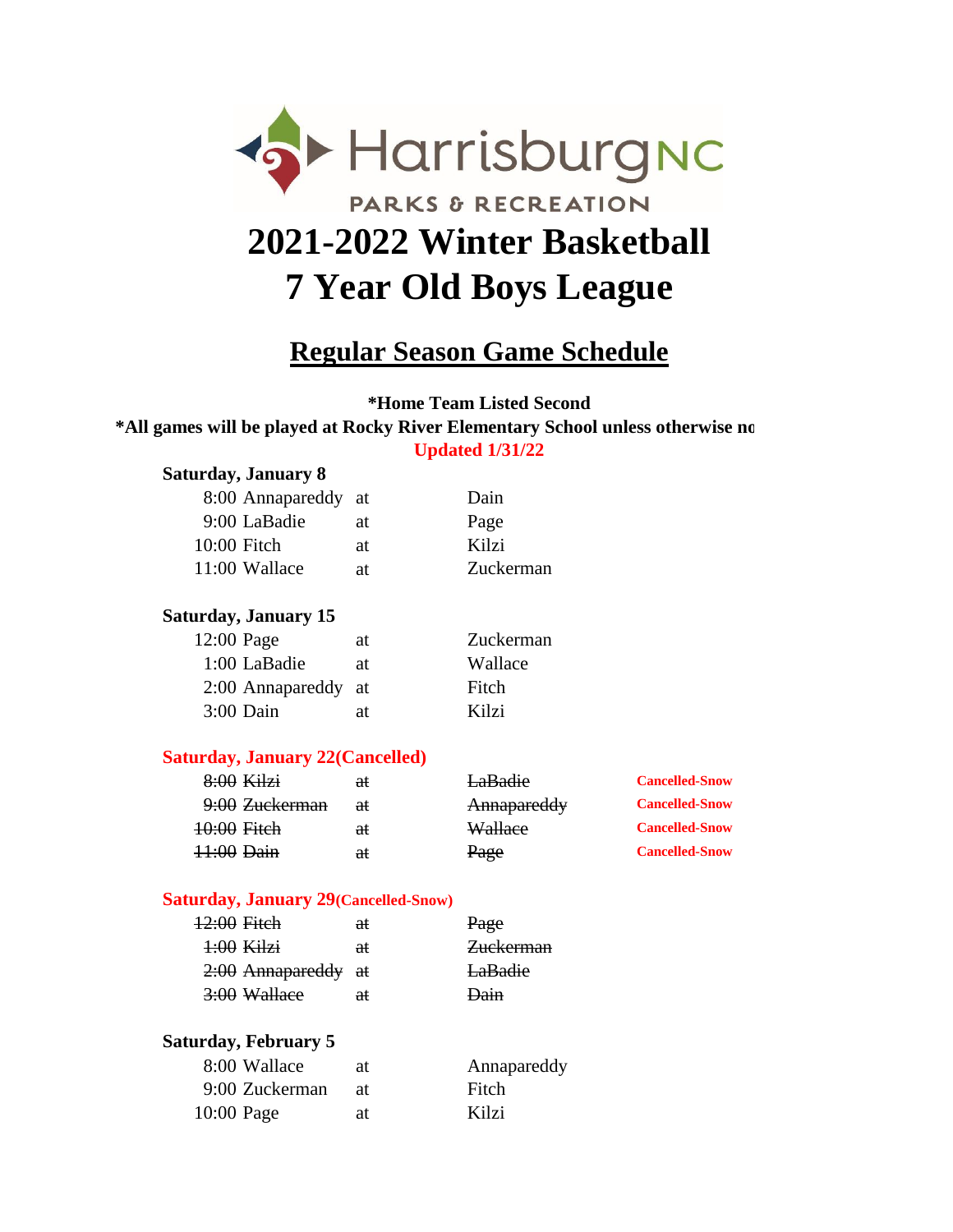

# **Regular Season Game Schedule**

**\*Home Team Listed Second** \*All games will be played at Rocky River Elementary School unless otherwise no **Updated 1/31/22**

### **Saturday, January 8**

| 8:00 Annapareddy at |    | Dain      |
|---------------------|----|-----------|
| 9:00 LaBadie        | at | Page      |
| $10:00$ Fitch       | at | Kilzi     |
| 11:00 Wallace       | at | Zuckerman |
|                     |    |           |

### **Saturday, January 15**

| $12:00$ Page        | at | Zuckerman |
|---------------------|----|-----------|
| 1:00 LaBadie        | at | Wallace   |
| 2:00 Annapareddy at |    | Fitch     |
| 3:00 Dain           | at | Kilzi     |

#### **Saturday, January 22(Cancelled)**

| $8:00$ Kilzi   | €ŧ | LaBadie     | <b>Cancelled-Snow</b> |
|----------------|----|-------------|-----------------------|
| 9:00 Zuckerman | €ŧ | Annapareddy | <b>Cancelled-Snow</b> |
| 10:00 Fitch    | €ŧ | Wallace     | <b>Cancelled-Snow</b> |
| 11:00 Dain     | €£ | Page        | <b>Cancelled-Snow</b> |

#### **Saturday, January 29(Cancelled-Snow)**

| 12:00 Fitch         | θŧ            | Page           |
|---------------------|---------------|----------------|
| $4:00$ Kilzi        | <del>at</del> | Zuckerman      |
| 2:00 Annapareddy at |               | <b>LaBadie</b> |
| 3:00 Wallace        | <del>at</del> | Dain           |

#### **Saturday, February 5**

| 8:00 Wallace   | at   | Annapareddy |
|----------------|------|-------------|
| 9:00 Zuckerman | -at- | Fitch       |
| $10:00$ Page   | at   | Kilzi       |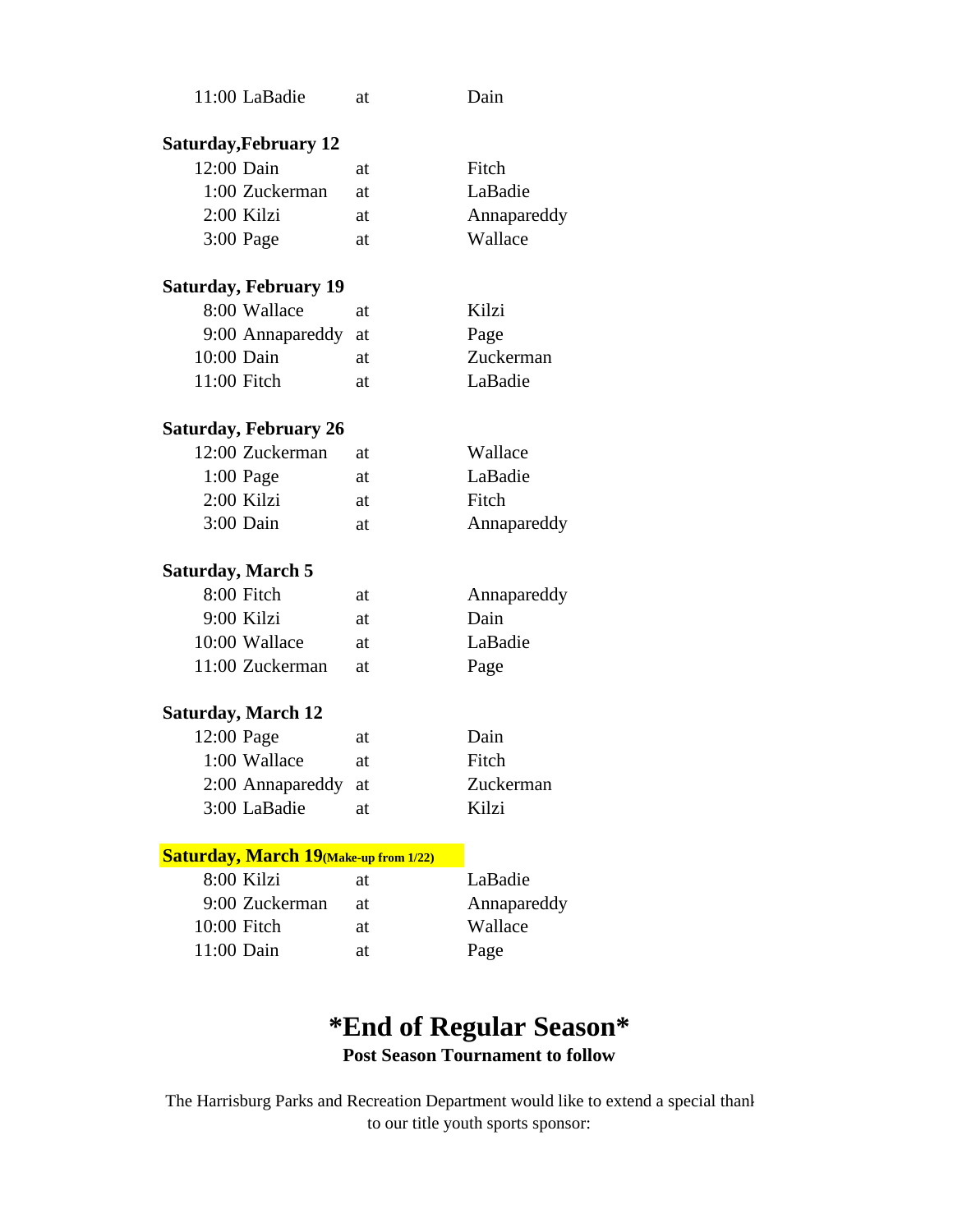|                           | 11:00 LaBadie                                 | at | Dain        |
|---------------------------|-----------------------------------------------|----|-------------|
|                           |                                               |    |             |
|                           | <b>Saturday, February 12</b>                  |    |             |
| 12:00 Dain                |                                               | at | Fitch       |
|                           | 1:00 Zuckerman                                | at | LaBadie     |
| 2:00 Kilzi                |                                               | at | Annapareddy |
| $3:00$ Page               |                                               | at | Wallace     |
|                           | <b>Saturday, February 19</b>                  |    |             |
|                           | 8:00 Wallace                                  | at | Kilzi       |
|                           | 9:00 Annapareddy                              | at | Page        |
| 10:00 Dain                |                                               | at | Zuckerman   |
| 11:00 Fitch               |                                               | at | LaBadie     |
|                           |                                               |    |             |
|                           | <b>Saturday, February 26</b>                  |    |             |
|                           | 12:00 Zuckerman                               | at | Wallace     |
| 1:00 Page                 |                                               | at | LaBadie     |
| 2:00 Kilzi                |                                               | at | Fitch       |
| 3:00 Dain                 |                                               | at | Annapareddy |
|                           |                                               |    |             |
| <b>Saturday, March 5</b>  |                                               |    |             |
| 8:00 Fitch                |                                               | at | Annapareddy |
| 9:00 Kilzi                |                                               | at | Dain        |
|                           | 10:00 Wallace                                 | at | LaBadie     |
|                           | 11:00 Zuckerman                               | at | Page        |
|                           |                                               |    |             |
| <b>Saturday, March 12</b> |                                               |    |             |
| 12:00 Page                |                                               | at | Dain        |
|                           | 1:00 Wallace                                  | at | Fitch       |
|                           | 2:00 Annapareddy at                           |    | Zuckerman   |
|                           | 3:00 LaBadie                                  | at | Kilzi       |
|                           |                                               |    |             |
|                           | <b>Saturday, March 19 (Make-up from 1/22)</b> |    |             |
| 8:00 Kilzi                |                                               | at | LaBadie     |
|                           | 9:00 Zuckerman                                | at | Annapareddy |
| 10:00 Fitch               |                                               | at | Wallace     |
| 11:00 Dain                |                                               | at | Page        |

## **\*End of Regular Season\* Post Season Tournament to follow**

to our title youth sports sponsor: The Harrisburg Parks and Recreation Department would like to extend a special thank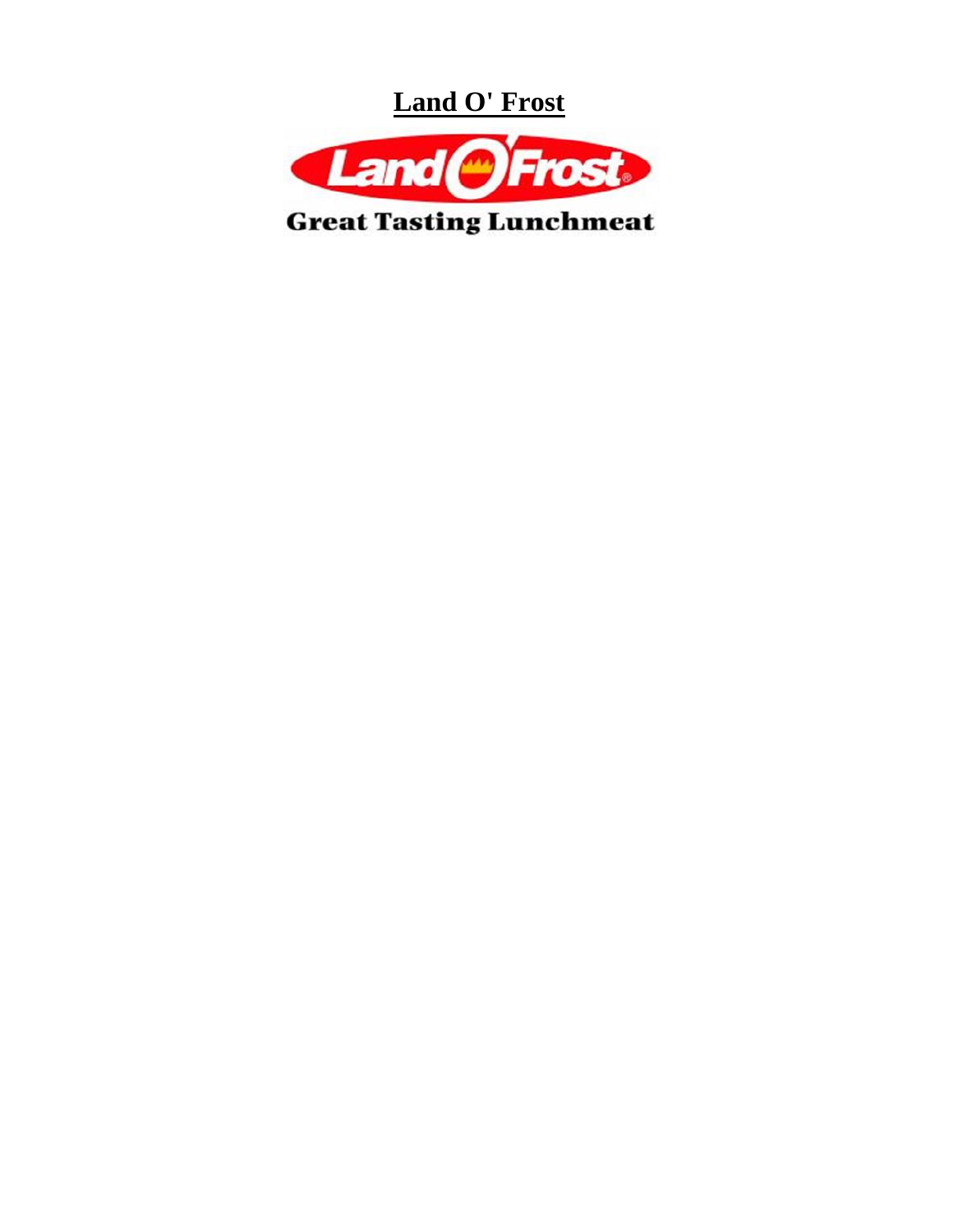**Land O' Frost**



**Great Tasting Lunchmeat**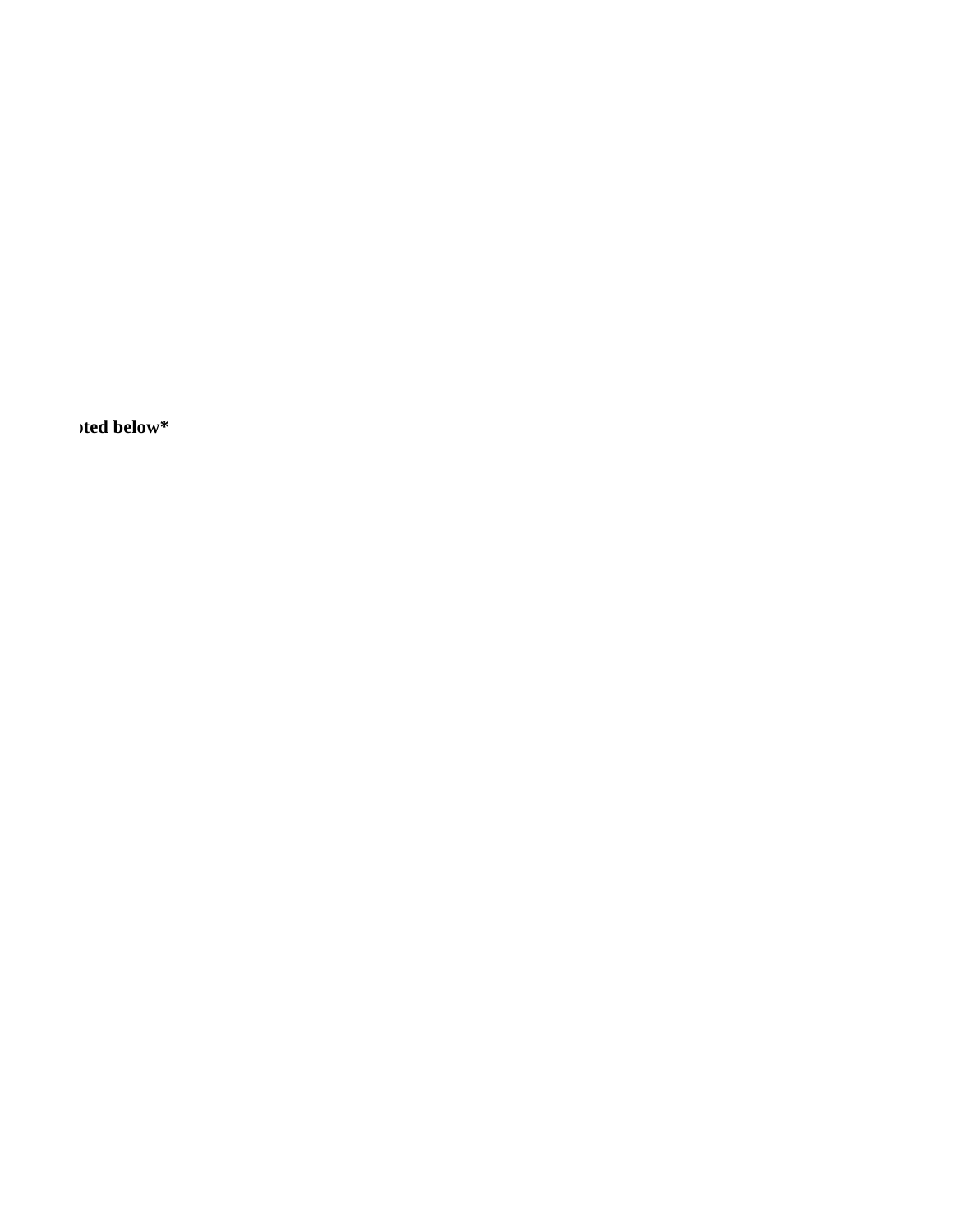ited below<sup>\*</sup>